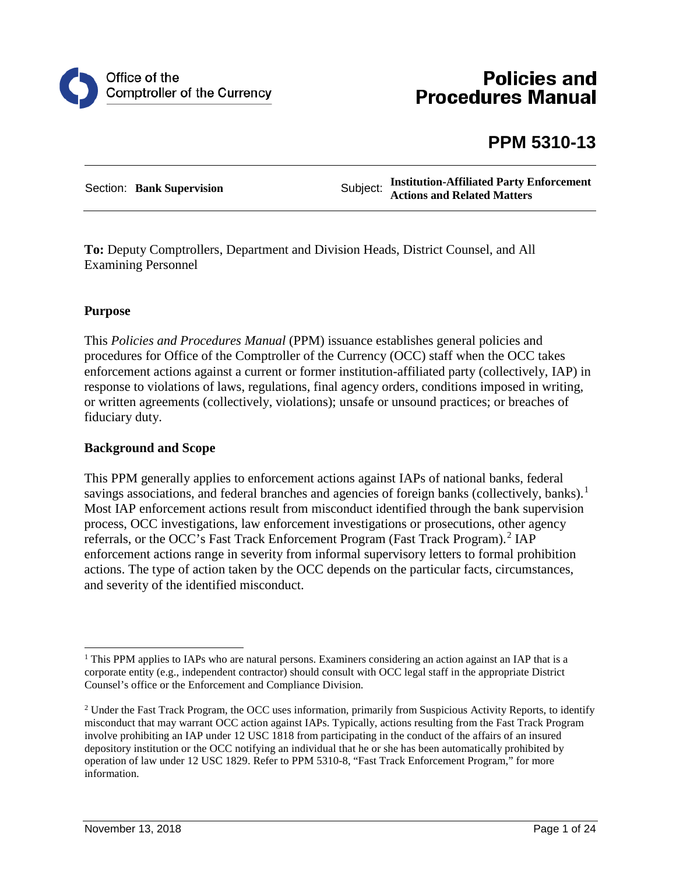

# **Policies and Procedures Manual**

# **PPM 5310-13**

Section: **Bank Supervision Subject: Institution-Affiliated Party Enforcement Actions and Related Matters**

**To:** Deputy Comptrollers, Department and Division Heads, District Counsel, and All Examining Personnel

# **Purpose**

This *Policies and Procedures Manual* (PPM) issuance establishes general policies and procedures for Office of the Comptroller of the Currency (OCC) staff when the OCC takes enforcement actions against a current or former institution-affiliated party (collectively, IAP) in response to violations of laws, regulations, final agency orders, conditions imposed in writing, or written agreements (collectively, violations); unsafe or unsound practices; or breaches of fiduciary duty.

#### **Background and Scope**

This PPM generally applies to enforcement actions against IAPs of national banks, federal savings associations, and federal branches and agencies of foreign banks (collectively, banks).<sup>[1](#page-0-0)</sup> Most IAP enforcement actions result from misconduct identified through the bank supervision process, OCC investigations, law enforcement investigations or prosecutions, other agency referrals, or the OCC's Fast Track Enforcement Program (Fast Track Program). [2](#page-0-1) IAP enforcement actions range in severity from informal supervisory letters to formal prohibition actions. The type of action taken by the OCC depends on the particular facts, circumstances, and severity of the identified misconduct.

<span id="page-0-0"></span><sup>&</sup>lt;sup>1</sup> This PPM applies to IAPs who are natural persons. Examiners considering an action against an IAP that is a corporate entity (e.g., independent contractor) should consult with OCC legal staff in the appropriate District Counsel's office or the Enforcement and Compliance Division.

<span id="page-0-1"></span><sup>&</sup>lt;sup>2</sup> Under the Fast Track Program, the OCC uses information, primarily from Suspicious Activity Reports, to identify misconduct that may warrant OCC action against IAPs. Typically, actions resulting from the Fast Track Program involve prohibiting an IAP under 12 USC 1818 from participating in the conduct of the affairs of an insured depository institution or the OCC notifying an individual that he or she has been automatically prohibited by operation of law under 12 USC 1829. Refer to PPM 5310-8, "Fast Track Enforcement Program," for more information.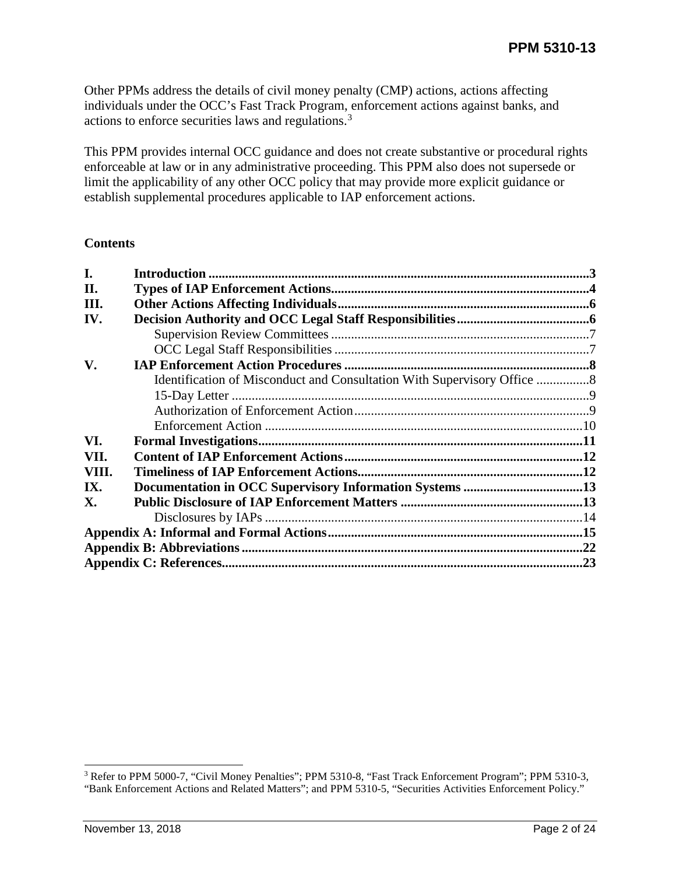Other PPMs address the details of civil money penalty (CMP) actions, actions affecting individuals under the OCC's Fast Track Program, enforcement actions against banks, and actions to enforce securities laws and regulations.[3](#page-1-0)

This PPM provides internal OCC guidance and does not create substantive or procedural rights enforceable at law or in any administrative proceeding. This PPM also does not supersede or limit the applicability of any other OCC policy that may provide more explicit guidance or establish supplemental procedures applicable to IAP enforcement actions.

#### **Contents**

| L.    |                                                         |  |
|-------|---------------------------------------------------------|--|
| II.   |                                                         |  |
| III.  |                                                         |  |
| IV.   |                                                         |  |
|       |                                                         |  |
|       |                                                         |  |
| V.    |                                                         |  |
|       |                                                         |  |
|       |                                                         |  |
|       |                                                         |  |
|       |                                                         |  |
| VI.   |                                                         |  |
| VII.  |                                                         |  |
| VIII. |                                                         |  |
| IX.   | Documentation in OCC Supervisory Information Systems 13 |  |
| X.    |                                                         |  |
|       |                                                         |  |
|       |                                                         |  |
|       |                                                         |  |
|       |                                                         |  |
|       |                                                         |  |

<span id="page-1-0"></span> <sup>3</sup> Refer to PPM 5000-7, "Civil Money Penalties"; PPM 5310-8, "Fast Track Enforcement Program"; PPM 5310-3, "Bank Enforcement Actions and Related Matters"; and PPM 5310-5, "Securities Activities Enforcement Policy."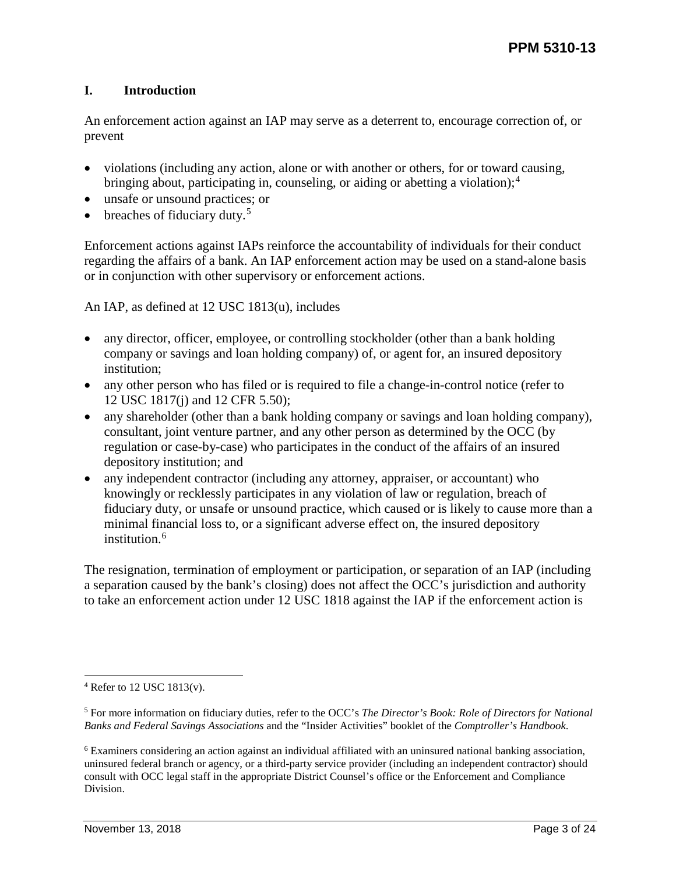# <span id="page-2-0"></span>**I. Introduction**

An enforcement action against an IAP may serve as a deterrent to, encourage correction of, or prevent

- violations (including any action, alone or with another or others, for or toward causing, bringing about, participating in, counseling, or aiding or abetting a violation); [4](#page-2-1)
- unsafe or unsound practices; or
- $\bullet$  breaches of fiduciary duty.<sup>[5](#page-2-2)</sup>

Enforcement actions against IAPs reinforce the accountability of individuals for their conduct regarding the affairs of a bank. An IAP enforcement action may be used on a stand-alone basis or in conjunction with other supervisory or enforcement actions.

An IAP, as defined at 12 USC 1813(u), includes

- any director, officer, employee, or controlling stockholder (other than a bank holding company or savings and loan holding company) of, or agent for, an insured depository institution;
- any other person who has filed or is required to file a change-in-control notice (refer to 12 USC 1817(j) and 12 CFR 5.50);
- any shareholder (other than a bank holding company or savings and loan holding company), consultant, joint venture partner, and any other person as determined by the OCC (by regulation or case-by-case) who participates in the conduct of the affairs of an insured depository institution; and
- any independent contractor (including any attorney, appraiser, or accountant) who knowingly or recklessly participates in any violation of law or regulation, breach of fiduciary duty, or unsafe or unsound practice, which caused or is likely to cause more than a minimal financial loss to, or a significant adverse effect on, the insured depository institution. [6](#page-2-3)

The resignation, termination of employment or participation, or separation of an IAP (including a separation caused by the bank's closing) does not affect the OCC's jurisdiction and authority to take an enforcement action under 12 USC 1818 against the IAP if the enforcement action is

<span id="page-2-1"></span> <sup>4</sup> Refer to 12 USC 1813(v).

<span id="page-2-2"></span><sup>5</sup> For more information on fiduciary duties, refer to the OCC's *The Director's Book: Role of Directors for National Banks and Federal Savings Associations* and the "Insider Activities" booklet of the *Comptroller's Handbook*.

<span id="page-2-3"></span><sup>6</sup> Examiners considering an action against an individual affiliated with an uninsured national banking association, uninsured federal branch or agency, or a third-party service provider (including an independent contractor) should consult with OCC legal staff in the appropriate District Counsel's office or the Enforcement and Compliance Division.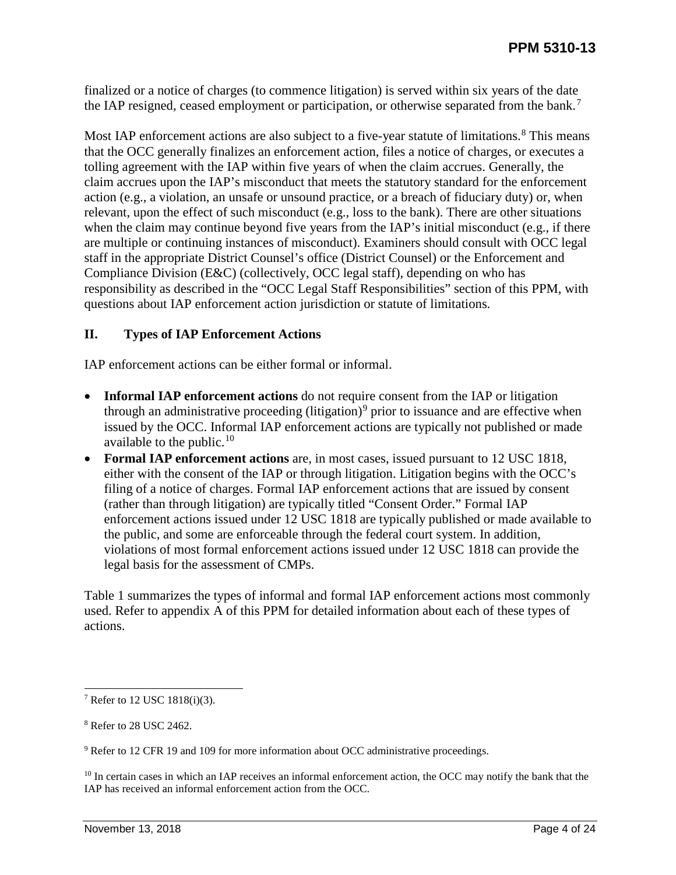finalized or a notice of charges (to commence litigation) is served within six years of the date the IAP resigned, ceased employment or participation, or otherwise separated from the bank.<sup>[7](#page-3-1)</sup>

Most IAP enforcement actions are also subject to a five-year statute of limitations.<sup>[8](#page-3-2)</sup> This means that the OCC generally finalizes an enforcement action, files a notice of charges, or executes a tolling agreement with the IAP within five years of when the claim accrues. Generally, the claim accrues upon the IAP's misconduct that meets the statutory standard for the enforcement action (e.g., a violation, an unsafe or unsound practice, or a breach of fiduciary duty) or, when relevant, upon the effect of such misconduct (e.g., loss to the bank). There are other situations when the claim may continue beyond five years from the IAP's initial misconduct (e.g., if there are multiple or continuing instances of misconduct). Examiners should consult with OCC legal staff in the appropriate District Counsel's office (District Counsel) or the Enforcement and Compliance Division (E&C) (collectively, OCC legal staff), depending on who has responsibility as described in the "OCC Legal Staff Responsibilities" section of this PPM, with questions about IAP enforcement action jurisdiction or statute of limitations.

#### <span id="page-3-0"></span>**II. Types of IAP Enforcement Actions**

IAP enforcement actions can be either formal or informal.

- **Informal IAP enforcement actions** do not require consent from the IAP or litigation through an administrative proceeding (litigation)<sup>[9](#page-3-3)</sup> prior to issuance and are effective when issued by the OCC. Informal IAP enforcement actions are typically not published or made available to the public. [10](#page-3-4)
- **Formal IAP enforcement actions** are, in most cases, issued pursuant to 12 USC 1818, either with the consent of the IAP or through litigation. Litigation begins with the OCC's filing of a notice of charges. Formal IAP enforcement actions that are issued by consent (rather than through litigation) are typically titled "Consent Order." Formal IAP enforcement actions issued under 12 USC 1818 are typically published or made available to the public, and some are enforceable through the federal court system. In addition, violations of most formal enforcement actions issued under 12 USC 1818 can provide the legal basis for the assessment of CMPs.

Table 1 summarizes the types of informal and formal IAP enforcement actions most commonly used. Refer to appendix A of this PPM for detailed information about each of these types of actions.

<span id="page-3-1"></span> <sup>7</sup> Refer to 12 USC 1818(i)(3).

<span id="page-3-2"></span><sup>8</sup> Refer to 28 USC 2462.

<span id="page-3-3"></span><sup>&</sup>lt;sup>9</sup> Refer to 12 CFR 19 and 109 for more information about OCC administrative proceedings.

<span id="page-3-4"></span><sup>&</sup>lt;sup>10</sup> In certain cases in which an IAP receives an informal enforcement action, the OCC may notify the bank that the IAP has received an informal enforcement action from the OCC.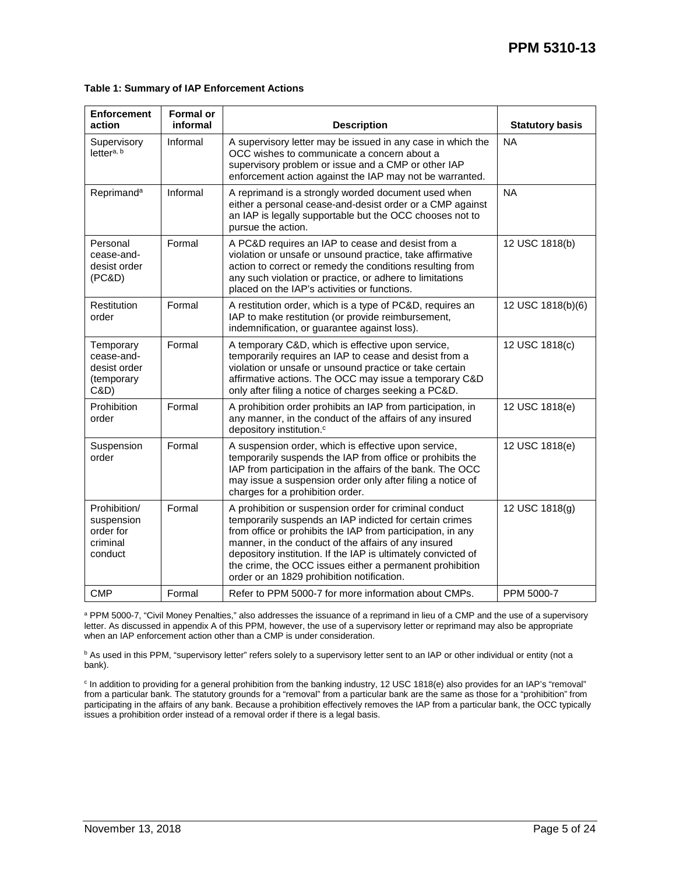| <b>Enforcement</b><br>action                                   | <b>Formal or</b><br>informal | <b>Description</b>                                                                                                                                                                                                                                                                                                                                                                                                  | <b>Statutory basis</b> |
|----------------------------------------------------------------|------------------------------|---------------------------------------------------------------------------------------------------------------------------------------------------------------------------------------------------------------------------------------------------------------------------------------------------------------------------------------------------------------------------------------------------------------------|------------------------|
| Supervisory<br>letter <sup>a, b</sup>                          | Informal                     | A supervisory letter may be issued in any case in which the<br>OCC wishes to communicate a concern about a<br>supervisory problem or issue and a CMP or other IAP<br>enforcement action against the IAP may not be warranted.                                                                                                                                                                                       | <b>NA</b>              |
| Reprimand <sup>a</sup>                                         | Informal                     | A reprimand is a strongly worded document used when<br>either a personal cease-and-desist order or a CMP against<br>an IAP is legally supportable but the OCC chooses not to<br>pursue the action.                                                                                                                                                                                                                  | <b>NA</b>              |
| Personal<br>cease-and-<br>desist order<br>(PC&D)               | Formal                       | A PC&D requires an IAP to cease and desist from a<br>violation or unsafe or unsound practice, take affirmative<br>action to correct or remedy the conditions resulting from<br>any such violation or practice, or adhere to limitations<br>placed on the IAP's activities or functions.                                                                                                                             | 12 USC 1818(b)         |
| Restitution<br>order                                           | Formal                       | A restitution order, which is a type of PC&D, requires an<br>IAP to make restitution (or provide reimbursement,<br>indemnification, or guarantee against loss).                                                                                                                                                                                                                                                     | 12 USC 1818(b)(6)      |
| Temporary<br>cease-and-<br>desist order<br>(temporary<br>C&D)  | Formal                       | A temporary C&D, which is effective upon service,<br>temporarily requires an IAP to cease and desist from a<br>violation or unsafe or unsound practice or take certain<br>affirmative actions. The OCC may issue a temporary C&D<br>only after filing a notice of charges seeking a PC&D.                                                                                                                           | 12 USC 1818(c)         |
| Prohibition<br>order                                           | Formal                       | A prohibition order prohibits an IAP from participation, in<br>any manner, in the conduct of the affairs of any insured<br>depository institution. <sup>c</sup>                                                                                                                                                                                                                                                     | 12 USC 1818(e)         |
| Suspension<br>order                                            | Formal                       | A suspension order, which is effective upon service,<br>temporarily suspends the IAP from office or prohibits the<br>IAP from participation in the affairs of the bank. The OCC<br>may issue a suspension order only after filing a notice of<br>charges for a prohibition order.                                                                                                                                   | 12 USC 1818(e)         |
| Prohibition/<br>suspension<br>order for<br>criminal<br>conduct | Formal                       | A prohibition or suspension order for criminal conduct<br>temporarily suspends an IAP indicted for certain crimes<br>from office or prohibits the IAP from participation, in any<br>manner, in the conduct of the affairs of any insured<br>depository institution. If the IAP is ultimately convicted of<br>the crime, the OCC issues either a permanent prohibition<br>order or an 1829 prohibition notification. | 12 USC 1818(g)         |
| <b>CMP</b>                                                     | Formal                       | Refer to PPM 5000-7 for more information about CMPs.                                                                                                                                                                                                                                                                                                                                                                | PPM 5000-7             |

#### **Table 1: Summary of IAP Enforcement Actions**

a PPM 5000-7, "Civil Money Penalties," also addresses the issuance of a reprimand in lieu of a CMP and the use of a supervisory letter. As discussed in appendix A of this PPM, however, the use of a supervisory letter or reprimand may also be appropriate when an IAP enforcement action other than a CMP is under consideration.

**b** As used in this PPM, "supervisory letter" refers solely to a supervisory letter sent to an IAP or other individual or entity (not a bank).

<sup>c</sup> In addition to providing for a general prohibition from the banking industry, 12 USC 1818(e) also provides for an IAP's "removal" from a particular bank. The statutory grounds for a "removal" from a particular bank are the same as those for a "prohibition" from participating in the affairs of any bank. Because a prohibition effectively removes the IAP from a particular bank, the OCC typically issues a prohibition order instead of a removal order if there is a legal basis.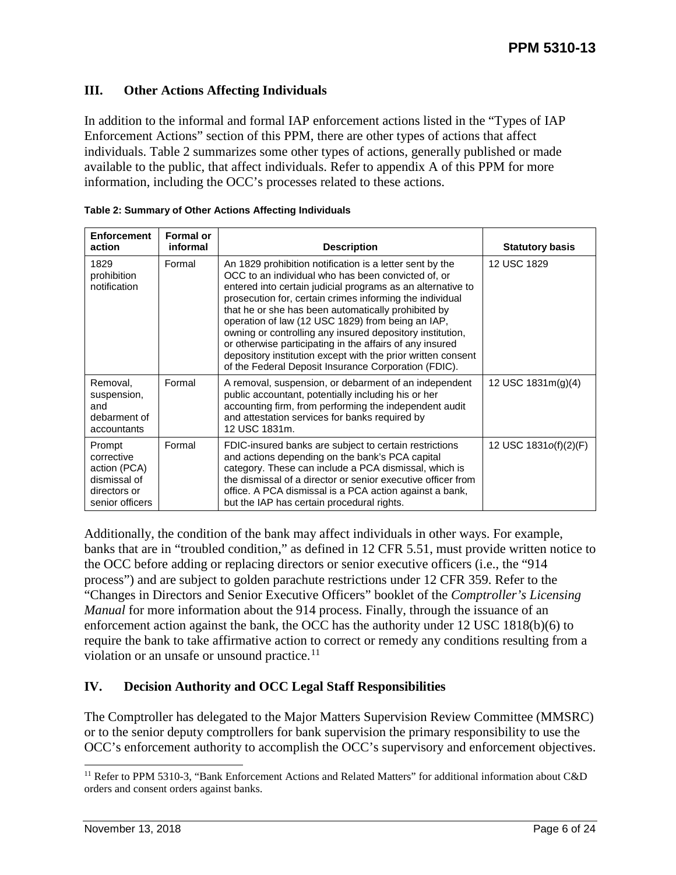# <span id="page-5-0"></span>**III. Other Actions Affecting Individuals**

In addition to the informal and formal IAP enforcement actions listed in the "Types of IAP Enforcement Actions" section of this PPM, there are other types of actions that affect individuals. Table 2 summarizes some other types of actions, generally published or made available to the public, that affect individuals. Refer to appendix A of this PPM for more information, including the OCC's processes related to these actions.

| <b>Enforcement</b><br>action                                                            | Formal or<br>informal | <b>Description</b>                                                                                                                                                                                                                                                                                                                                                                                                                                                                                                                                                                                     | <b>Statutory basis</b> |
|-----------------------------------------------------------------------------------------|-----------------------|--------------------------------------------------------------------------------------------------------------------------------------------------------------------------------------------------------------------------------------------------------------------------------------------------------------------------------------------------------------------------------------------------------------------------------------------------------------------------------------------------------------------------------------------------------------------------------------------------------|------------------------|
| 1829<br>prohibition<br>notification                                                     | Formal                | An 1829 prohibition notification is a letter sent by the<br>OCC to an individual who has been convicted of, or<br>entered into certain judicial programs as an alternative to<br>prosecution for, certain crimes informing the individual<br>that he or she has been automatically prohibited by<br>operation of law (12 USC 1829) from being an IAP,<br>owning or controlling any insured depository institution,<br>or otherwise participating in the affairs of any insured<br>depository institution except with the prior written consent<br>of the Federal Deposit Insurance Corporation (FDIC). | 12 USC 1829            |
| Removal,<br>suspension,<br>and<br>debarment of<br>accountants                           | Formal                | A removal, suspension, or debarment of an independent<br>public accountant, potentially including his or her<br>accounting firm, from performing the independent audit<br>and attestation services for banks required by<br>12 USC 1831m.                                                                                                                                                                                                                                                                                                                                                              | 12 USC 1831m(g)(4)     |
| Prompt<br>corrective<br>action (PCA)<br>dismissal of<br>directors or<br>senior officers | Formal                | FDIC-insured banks are subject to certain restrictions<br>and actions depending on the bank's PCA capital<br>category. These can include a PCA dismissal, which is<br>the dismissal of a director or senior executive officer from<br>office. A PCA dismissal is a PCA action against a bank,<br>but the IAP has certain procedural rights.                                                                                                                                                                                                                                                            | 12 USC 1831 o(f)(2)(F) |

|  |  |  | Table 2: Summary of Other Actions Affecting Individuals |
|--|--|--|---------------------------------------------------------|
|  |  |  |                                                         |

Additionally, the condition of the bank may affect individuals in other ways. For example, banks that are in "troubled condition," as defined in 12 CFR 5.51, must provide written notice to the OCC before adding or replacing directors or senior executive officers (i.e., the "914 process") and are subject to golden parachute restrictions under 12 CFR 359. Refer to the "Changes in Directors and Senior Executive Officers" booklet of the *Comptroller's Licensing Manual* for more information about the 914 process. Finally, through the issuance of an enforcement action against the bank, the OCC has the authority under 12 USC 1818(b)(6) to require the bank to take affirmative action to correct or remedy any conditions resulting from a violation or an unsafe or unsound practice.<sup>[11](#page-5-2)</sup>

# <span id="page-5-1"></span>**IV. Decision Authority and OCC Legal Staff Responsibilities**

The Comptroller has delegated to the Major Matters Supervision Review Committee (MMSRC) or to the senior deputy comptrollers for bank supervision the primary responsibility to use the OCC's enforcement authority to accomplish the OCC's supervisory and enforcement objectives.

<span id="page-5-2"></span><sup>&</sup>lt;sup>11</sup> Refer to PPM 5310-3, "Bank Enforcement Actions and Related Matters" for additional information about C&D orders and consent orders against banks.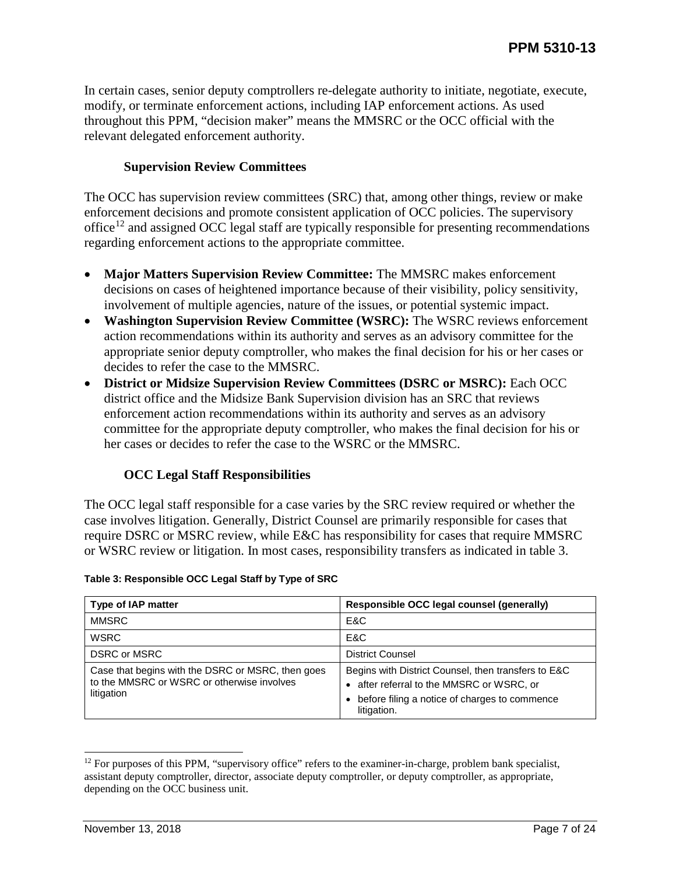In certain cases, senior deputy comptrollers re-delegate authority to initiate, negotiate, execute, modify, or terminate enforcement actions, including IAP enforcement actions. As used throughout this PPM, "decision maker" means the MMSRC or the OCC official with the relevant delegated enforcement authority.

#### **Supervision Review Committees**

<span id="page-6-0"></span>The OCC has supervision review committees (SRC) that, among other things, review or make enforcement decisions and promote consistent application of OCC policies. The supervisory office<sup>[12](#page-6-2)</sup> and assigned OCC legal staff are typically responsible for presenting recommendations regarding enforcement actions to the appropriate committee.

- **Major Matters Supervision Review Committee:** The MMSRC makes enforcement decisions on cases of heightened importance because of their visibility, policy sensitivity, involvement of multiple agencies, nature of the issues, or potential systemic impact.
- **Washington Supervision Review Committee (WSRC):** The WSRC reviews enforcement action recommendations within its authority and serves as an advisory committee for the appropriate senior deputy comptroller, who makes the final decision for his or her cases or decides to refer the case to the MMSRC.
- **District or Midsize Supervision Review Committees (DSRC or MSRC):** Each OCC district office and the Midsize Bank Supervision division has an SRC that reviews enforcement action recommendations within its authority and serves as an advisory committee for the appropriate deputy comptroller, who makes the final decision for his or her cases or decides to refer the case to the WSRC or the MMSRC.

# **OCC Legal Staff Responsibilities**

<span id="page-6-1"></span>The OCC legal staff responsible for a case varies by the SRC review required or whether the case involves litigation. Generally, District Counsel are primarily responsible for cases that require DSRC or MSRC review, while E&C has responsibility for cases that require MMSRC or WSRC review or litigation. In most cases, responsibility transfers as indicated in table 3.

| Type of IAP matter                                                                                            | Responsible OCC legal counsel (generally)                                                                                                                      |  |
|---------------------------------------------------------------------------------------------------------------|----------------------------------------------------------------------------------------------------------------------------------------------------------------|--|
| <b>MMSRC</b>                                                                                                  | E&C                                                                                                                                                            |  |
| <b>WSRC</b>                                                                                                   | E&C                                                                                                                                                            |  |
| <b>DSRC or MSRC</b>                                                                                           | <b>District Counsel</b>                                                                                                                                        |  |
| Case that begins with the DSRC or MSRC, then goes<br>to the MMSRC or WSRC or otherwise involves<br>litigation | Begins with District Counsel, then transfers to E&C<br>after referral to the MMSRC or WSRC, or<br>before filing a notice of charges to commence<br>litigation. |  |

| Table 3: Responsible OCC Legal Staff by Type of SRC |  |  |
|-----------------------------------------------------|--|--|
|                                                     |  |  |

<span id="page-6-2"></span><sup>&</sup>lt;sup>12</sup> For purposes of this PPM, "supervisory office" refers to the examiner-in-charge, problem bank specialist, assistant deputy comptroller, director, associate deputy comptroller, or deputy comptroller, as appropriate, depending on the OCC business unit.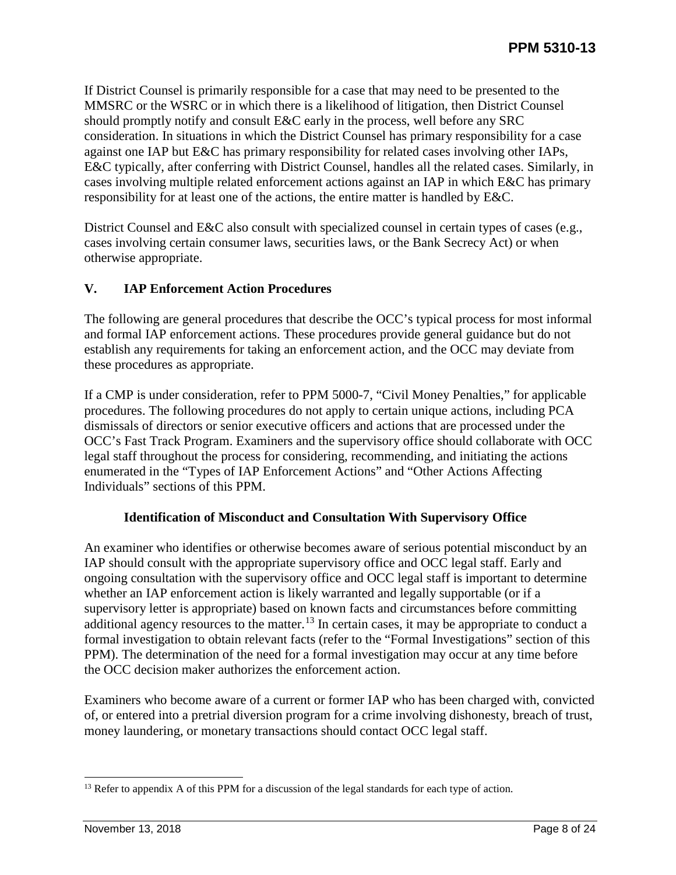If District Counsel is primarily responsible for a case that may need to be presented to the MMSRC or the WSRC or in which there is a likelihood of litigation, then District Counsel should promptly notify and consult E&C early in the process, well before any SRC consideration. In situations in which the District Counsel has primary responsibility for a case against one IAP but E&C has primary responsibility for related cases involving other IAPs, E&C typically, after conferring with District Counsel, handles all the related cases. Similarly, in cases involving multiple related enforcement actions against an IAP in which E&C has primary responsibility for at least one of the actions, the entire matter is handled by E&C.

District Counsel and E&C also consult with specialized counsel in certain types of cases (e.g., cases involving certain consumer laws, securities laws, or the Bank Secrecy Act) or when otherwise appropriate.

# <span id="page-7-0"></span>**V. IAP Enforcement Action Procedures**

The following are general procedures that describe the OCC's typical process for most informal and formal IAP enforcement actions. These procedures provide general guidance but do not establish any requirements for taking an enforcement action, and the OCC may deviate from these procedures as appropriate.

If a CMP is under consideration, refer to PPM 5000-7, "Civil Money Penalties," for applicable procedures. The following procedures do not apply to certain unique actions, including PCA dismissals of directors or senior executive officers and actions that are processed under the OCC's Fast Track Program. Examiners and the supervisory office should collaborate with OCC legal staff throughout the process for considering, recommending, and initiating the actions enumerated in the "Types of IAP Enforcement Actions" and "Other Actions Affecting Individuals" sections of this PPM.

#### **Identification of Misconduct and Consultation With Supervisory Office**

<span id="page-7-1"></span>An examiner who identifies or otherwise becomes aware of serious potential misconduct by an IAP should consult with the appropriate supervisory office and OCC legal staff. Early and ongoing consultation with the supervisory office and OCC legal staff is important to determine whether an IAP enforcement action is likely warranted and legally supportable (or if a supervisory letter is appropriate) based on known facts and circumstances before committing additional agency resources to the matter.<sup>[13](#page-7-2)</sup> In certain cases, it may be appropriate to conduct a formal investigation to obtain relevant facts (refer to the "Formal Investigations" section of this PPM). The determination of the need for a formal investigation may occur at any time before the OCC decision maker authorizes the enforcement action.

Examiners who become aware of a current or former IAP who has been charged with, convicted of, or entered into a pretrial diversion program for a crime involving dishonesty, breach of trust, money laundering, or monetary transactions should contact OCC legal staff.

<span id="page-7-2"></span><sup>&</sup>lt;sup>13</sup> Refer to appendix A of this PPM for a discussion of the legal standards for each type of action.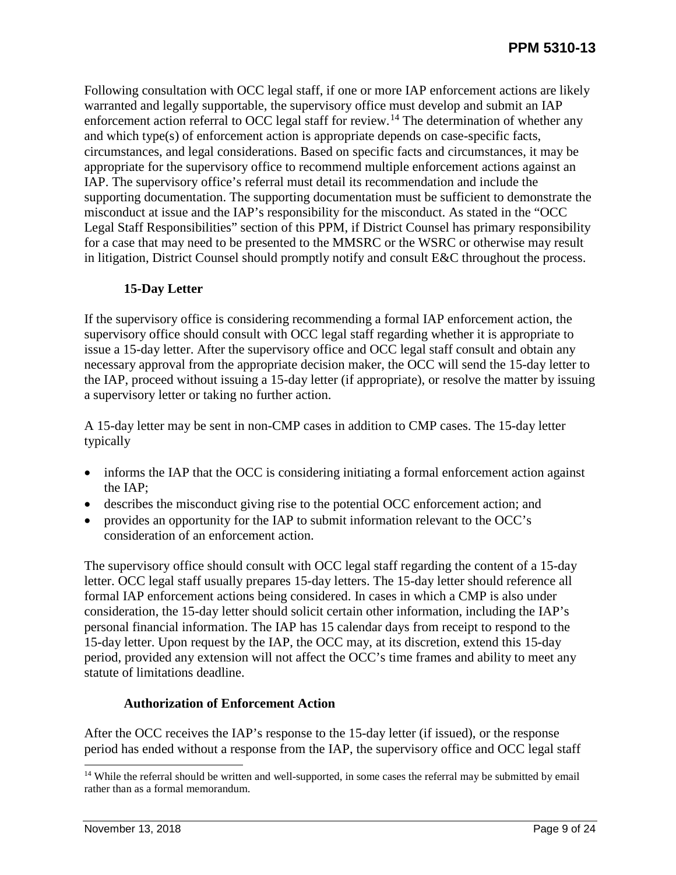Following consultation with OCC legal staff, if one or more IAP enforcement actions are likely warranted and legally supportable, the supervisory office must develop and submit an IAP enforcement action referral to OCC legal staff for review.<sup>[14](#page-8-2)</sup> The determination of whether any and which type(s) of enforcement action is appropriate depends on case-specific facts, circumstances, and legal considerations. Based on specific facts and circumstances, it may be appropriate for the supervisory office to recommend multiple enforcement actions against an IAP. The supervisory office's referral must detail its recommendation and include the supporting documentation. The supporting documentation must be sufficient to demonstrate the misconduct at issue and the IAP's responsibility for the misconduct. As stated in the "OCC Legal Staff Responsibilities" section of this PPM, if District Counsel has primary responsibility for a case that may need to be presented to the MMSRC or the WSRC or otherwise may result in litigation, District Counsel should promptly notify and consult E&C throughout the process.

# **15-Day Letter**

<span id="page-8-0"></span>If the supervisory office is considering recommending a formal IAP enforcement action, the supervisory office should consult with OCC legal staff regarding whether it is appropriate to issue a 15-day letter. After the supervisory office and OCC legal staff consult and obtain any necessary approval from the appropriate decision maker, the OCC will send the 15-day letter to the IAP, proceed without issuing a 15-day letter (if appropriate), or resolve the matter by issuing a supervisory letter or taking no further action.

A 15-day letter may be sent in non-CMP cases in addition to CMP cases. The 15-day letter typically

- informs the IAP that the OCC is considering initiating a formal enforcement action against the IAP;
- describes the misconduct giving rise to the potential OCC enforcement action; and
- provides an opportunity for the IAP to submit information relevant to the OCC's consideration of an enforcement action.

The supervisory office should consult with OCC legal staff regarding the content of a 15-day letter. OCC legal staff usually prepares 15-day letters. The 15-day letter should reference all formal IAP enforcement actions being considered. In cases in which a CMP is also under consideration, the 15-day letter should solicit certain other information, including the IAP's personal financial information. The IAP has 15 calendar days from receipt to respond to the 15-day letter. Upon request by the IAP, the OCC may, at its discretion, extend this 15-day period, provided any extension will not affect the OCC's time frames and ability to meet any statute of limitations deadline.

# **Authorization of Enforcement Action**

<span id="page-8-1"></span>After the OCC receives the IAP's response to the 15-day letter (if issued), or the response period has ended without a response from the IAP, the supervisory office and OCC legal staff

<span id="page-8-2"></span><sup>&</sup>lt;sup>14</sup> While the referral should be written and well-supported, in some cases the referral may be submitted by email rather than as a formal memorandum.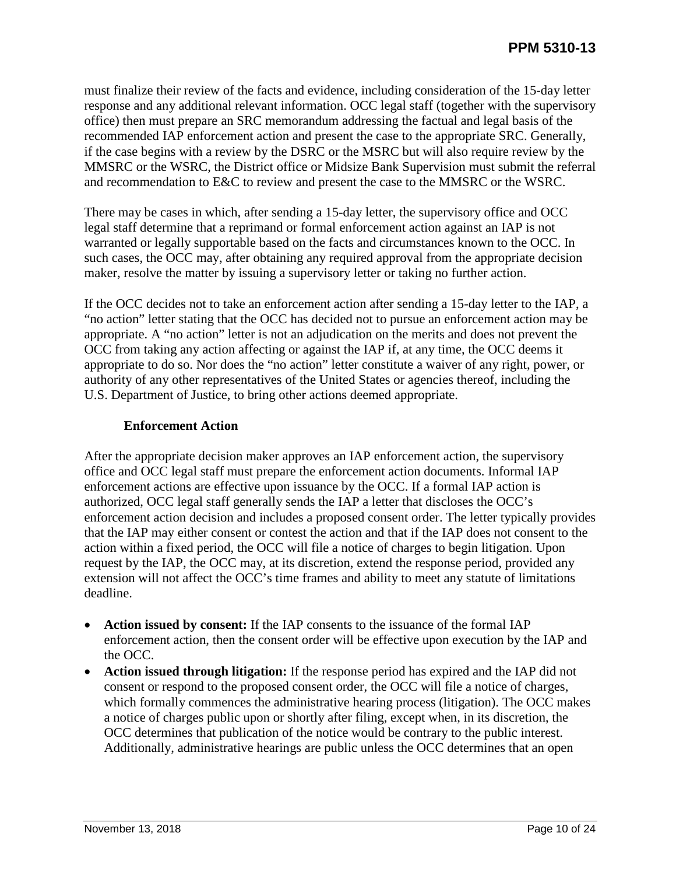must finalize their review of the facts and evidence, including consideration of the 15-day letter response and any additional relevant information. OCC legal staff (together with the supervisory office) then must prepare an SRC memorandum addressing the factual and legal basis of the recommended IAP enforcement action and present the case to the appropriate SRC. Generally, if the case begins with a review by the DSRC or the MSRC but will also require review by the MMSRC or the WSRC, the District office or Midsize Bank Supervision must submit the referral and recommendation to E&C to review and present the case to the MMSRC or the WSRC.

There may be cases in which, after sending a 15-day letter, the supervisory office and OCC legal staff determine that a reprimand or formal enforcement action against an IAP is not warranted or legally supportable based on the facts and circumstances known to the OCC. In such cases, the OCC may, after obtaining any required approval from the appropriate decision maker, resolve the matter by issuing a supervisory letter or taking no further action.

If the OCC decides not to take an enforcement action after sending a 15-day letter to the IAP, a "no action" letter stating that the OCC has decided not to pursue an enforcement action may be appropriate. A "no action" letter is not an adjudication on the merits and does not prevent the OCC from taking any action affecting or against the IAP if, at any time, the OCC deems it appropriate to do so. Nor does the "no action" letter constitute a waiver of any right, power, or authority of any other representatives of the United States or agencies thereof, including the U.S. Department of Justice, to bring other actions deemed appropriate.

# **Enforcement Action**

<span id="page-9-0"></span>After the appropriate decision maker approves an IAP enforcement action, the supervisory office and OCC legal staff must prepare the enforcement action documents. Informal IAP enforcement actions are effective upon issuance by the OCC. If a formal IAP action is authorized, OCC legal staff generally sends the IAP a letter that discloses the OCC's enforcement action decision and includes a proposed consent order. The letter typically provides that the IAP may either consent or contest the action and that if the IAP does not consent to the action within a fixed period, the OCC will file a notice of charges to begin litigation. Upon request by the IAP, the OCC may, at its discretion, extend the response period, provided any extension will not affect the OCC's time frames and ability to meet any statute of limitations deadline.

- **Action issued by consent:** If the IAP consents to the issuance of the formal IAP enforcement action, then the consent order will be effective upon execution by the IAP and the OCC.
- **Action issued through litigation:** If the response period has expired and the IAP did not consent or respond to the proposed consent order, the OCC will file a notice of charges, which formally commences the administrative hearing process (litigation). The OCC makes a notice of charges public upon or shortly after filing, except when, in its discretion, the OCC determines that publication of the notice would be contrary to the public interest. Additionally, administrative hearings are public unless the OCC determines that an open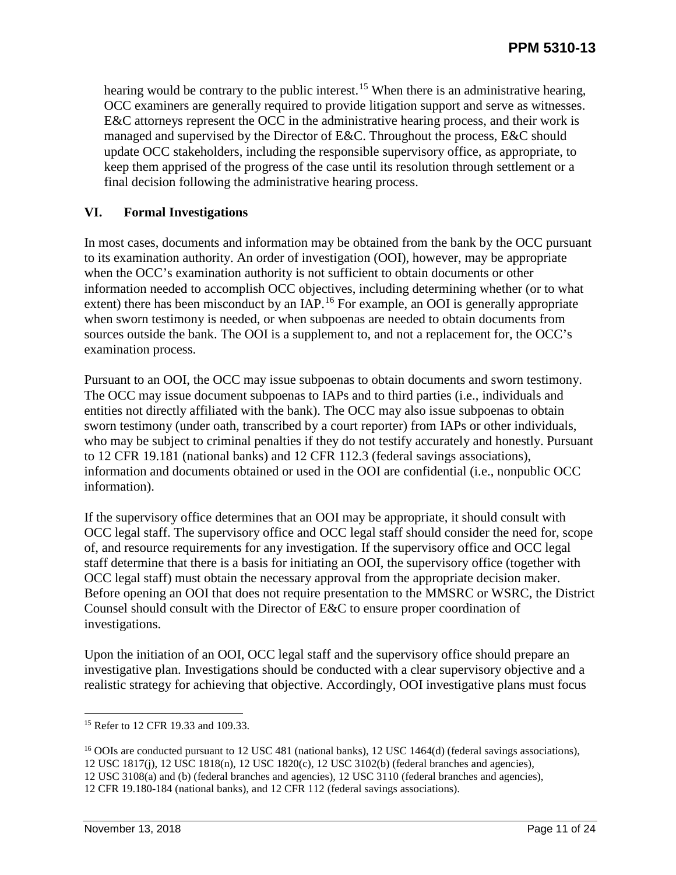hearing would be contrary to the public interest.<sup>[15](#page-10-1)</sup> When there is an administrative hearing, OCC examiners are generally required to provide litigation support and serve as witnesses. E&C attorneys represent the OCC in the administrative hearing process, and their work is managed and supervised by the Director of E&C. Throughout the process, E&C should update OCC stakeholders, including the responsible supervisory office, as appropriate, to keep them apprised of the progress of the case until its resolution through settlement or a final decision following the administrative hearing process.

# <span id="page-10-0"></span>**VI. Formal Investigations**

In most cases, documents and information may be obtained from the bank by the OCC pursuant to its examination authority. An order of investigation (OOI), however, may be appropriate when the OCC's examination authority is not sufficient to obtain documents or other information needed to accomplish OCC objectives, including determining whether (or to what extent) there has been misconduct by an IAP.<sup>[16](#page-10-2)</sup> For example, an OOI is generally appropriate when sworn testimony is needed, or when subpoenas are needed to obtain documents from sources outside the bank. The OOI is a supplement to, and not a replacement for, the OCC's examination process.

Pursuant to an OOI, the OCC may issue subpoenas to obtain documents and sworn testimony. The OCC may issue document subpoenas to IAPs and to third parties (i.e., individuals and entities not directly affiliated with the bank). The OCC may also issue subpoenas to obtain sworn testimony (under oath, transcribed by a court reporter) from IAPs or other individuals, who may be subject to criminal penalties if they do not testify accurately and honestly. Pursuant to 12 CFR 19.181 (national banks) and 12 CFR 112.3 (federal savings associations), information and documents obtained or used in the OOI are confidential (i.e., nonpublic OCC information).

If the supervisory office determines that an OOI may be appropriate, it should consult with OCC legal staff. The supervisory office and OCC legal staff should consider the need for, scope of, and resource requirements for any investigation. If the supervisory office and OCC legal staff determine that there is a basis for initiating an OOI, the supervisory office (together with OCC legal staff) must obtain the necessary approval from the appropriate decision maker. Before opening an OOI that does not require presentation to the MMSRC or WSRC, the District Counsel should consult with the Director of E&C to ensure proper coordination of investigations.

Upon the initiation of an OOI, OCC legal staff and the supervisory office should prepare an investigative plan. Investigations should be conducted with a clear supervisory objective and a realistic strategy for achieving that objective. Accordingly, OOI investigative plans must focus

<span id="page-10-1"></span><sup>&</sup>lt;sup>15</sup> Refer to 12 CFR 19.33 and 109.33.

<span id="page-10-2"></span><sup>&</sup>lt;sup>16</sup> OOIs are conducted pursuant to 12 USC 481 (national banks), 12 USC 1464(d) (federal savings associations), 12 USC 1817(j), 12 USC 1818(n), 12 USC 1820(c), 12 USC 3102(b) (federal branches and agencies),

<sup>12</sup> USC 3108(a) and (b) (federal branches and agencies), 12 USC 3110 (federal branches and agencies),

<sup>12</sup> CFR 19.180-184 (national banks), and 12 CFR 112 (federal savings associations).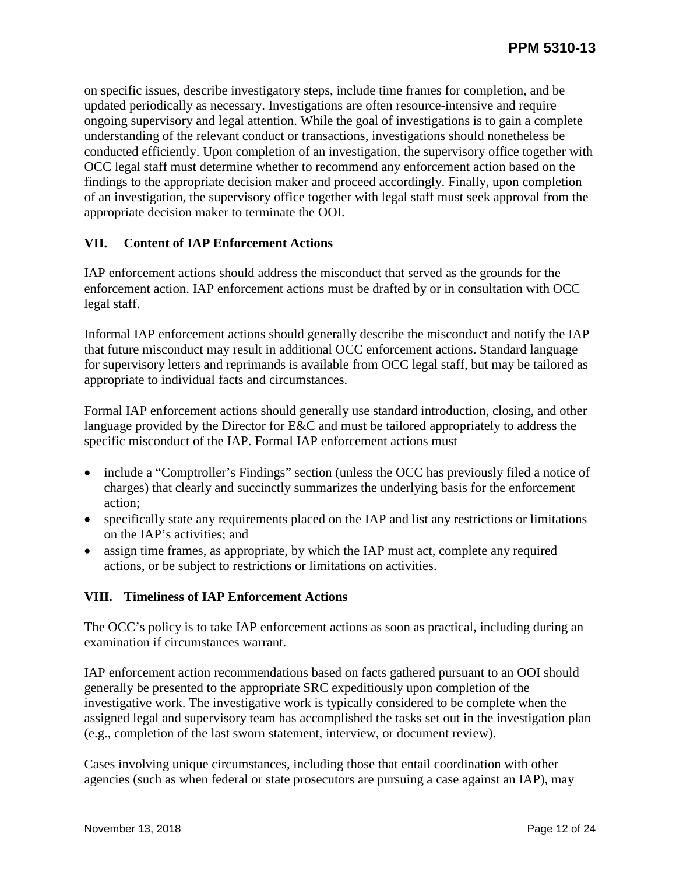on specific issues, describe investigatory steps, include time frames for completion, and be updated periodically as necessary. Investigations are often resource-intensive and require ongoing supervisory and legal attention. While the goal of investigations is to gain a complete understanding of the relevant conduct or transactions, investigations should nonetheless be conducted efficiently. Upon completion of an investigation, the supervisory office together with OCC legal staff must determine whether to recommend any enforcement action based on the findings to the appropriate decision maker and proceed accordingly. Finally, upon completion of an investigation, the supervisory office together with legal staff must seek approval from the appropriate decision maker to terminate the OOI.

# <span id="page-11-0"></span>**VII. Content of IAP Enforcement Actions**

IAP enforcement actions should address the misconduct that served as the grounds for the enforcement action. IAP enforcement actions must be drafted by or in consultation with OCC legal staff.

Informal IAP enforcement actions should generally describe the misconduct and notify the IAP that future misconduct may result in additional OCC enforcement actions. Standard language for supervisory letters and reprimands is available from OCC legal staff, but may be tailored as appropriate to individual facts and circumstances.

Formal IAP enforcement actions should generally use standard introduction, closing, and other language provided by the Director for E&C and must be tailored appropriately to address the specific misconduct of the IAP. Formal IAP enforcement actions must

- include a "Comptroller's Findings" section (unless the OCC has previously filed a notice of charges) that clearly and succinctly summarizes the underlying basis for the enforcement action;
- specifically state any requirements placed on the IAP and list any restrictions or limitations on the IAP's activities; and
- assign time frames, as appropriate, by which the IAP must act, complete any required actions, or be subject to restrictions or limitations on activities.

# <span id="page-11-1"></span>**VIII. Timeliness of IAP Enforcement Actions**

The OCC's policy is to take IAP enforcement actions as soon as practical, including during an examination if circumstances warrant.

IAP enforcement action recommendations based on facts gathered pursuant to an OOI should generally be presented to the appropriate SRC expeditiously upon completion of the investigative work. The investigative work is typically considered to be complete when the assigned legal and supervisory team has accomplished the tasks set out in the investigation plan (e.g., completion of the last sworn statement, interview, or document review).

Cases involving unique circumstances, including those that entail coordination with other agencies (such as when federal or state prosecutors are pursuing a case against an IAP), may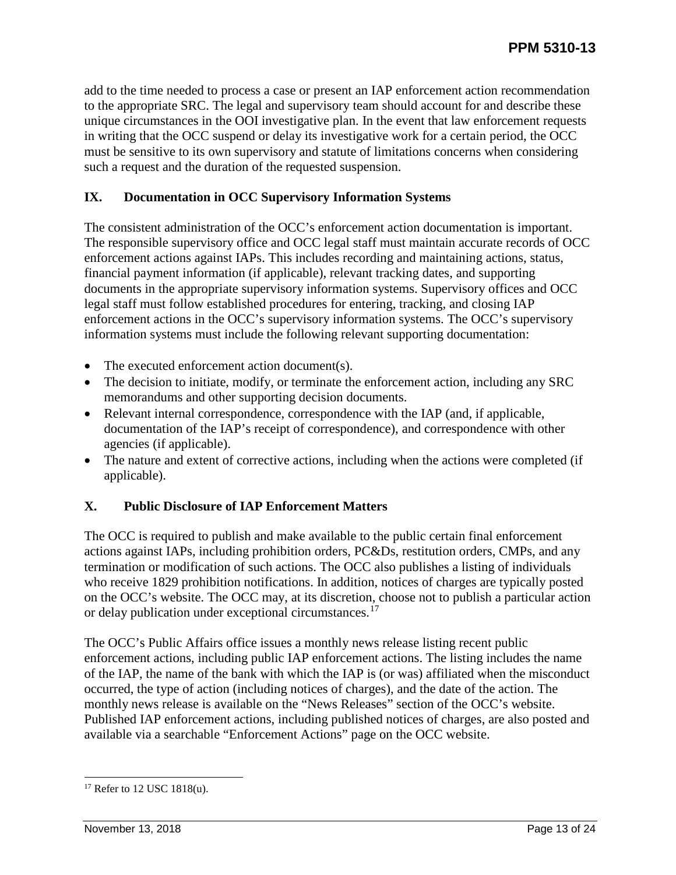add to the time needed to process a case or present an IAP enforcement action recommendation to the appropriate SRC. The legal and supervisory team should account for and describe these unique circumstances in the OOI investigative plan. In the event that law enforcement requests in writing that the OCC suspend or delay its investigative work for a certain period, the OCC must be sensitive to its own supervisory and statute of limitations concerns when considering such a request and the duration of the requested suspension.

# <span id="page-12-0"></span>**IX. Documentation in OCC Supervisory Information Systems**

The consistent administration of the OCC's enforcement action documentation is important. The responsible supervisory office and OCC legal staff must maintain accurate records of OCC enforcement actions against IAPs. This includes recording and maintaining actions, status, financial payment information (if applicable), relevant tracking dates, and supporting documents in the appropriate supervisory information systems. Supervisory offices and OCC legal staff must follow established procedures for entering, tracking, and closing IAP enforcement actions in the OCC's supervisory information systems. The OCC's supervisory information systems must include the following relevant supporting documentation:

- The executed enforcement action document(s).
- The decision to initiate, modify, or terminate the enforcement action, including any SRC memorandums and other supporting decision documents.
- Relevant internal correspondence, correspondence with the IAP (and, if applicable, documentation of the IAP's receipt of correspondence), and correspondence with other agencies (if applicable).
- The nature and extent of corrective actions, including when the actions were completed (if applicable).

# <span id="page-12-1"></span>**X. Public Disclosure of IAP Enforcement Matters**

The OCC is required to publish and make available to the public certain final enforcement actions against IAPs, including prohibition orders, PC&Ds, restitution orders, CMPs, and any termination or modification of such actions. The OCC also publishes a listing of individuals who receive 1829 prohibition notifications. In addition, notices of charges are typically posted on the OCC's website. The OCC may, at its discretion, choose not to publish a particular action or delay publication under exceptional circumstances.[17](#page-12-2)

The OCC's Public Affairs office issues a monthly news release listing recent public enforcement actions, including public IAP enforcement actions. The listing includes the name of the IAP, the name of the bank with which the IAP is (or was) affiliated when the misconduct occurred, the type of action (including notices of charges), and the date of the action. The monthly news release is available on the "News Releases" section of the OCC's website. Published IAP enforcement actions, including published notices of charges, are also posted and available via a searchable "Enforcement Actions" page on the OCC website.

<span id="page-12-2"></span><sup>&</sup>lt;sup>17</sup> Refer to 12 USC 1818(u).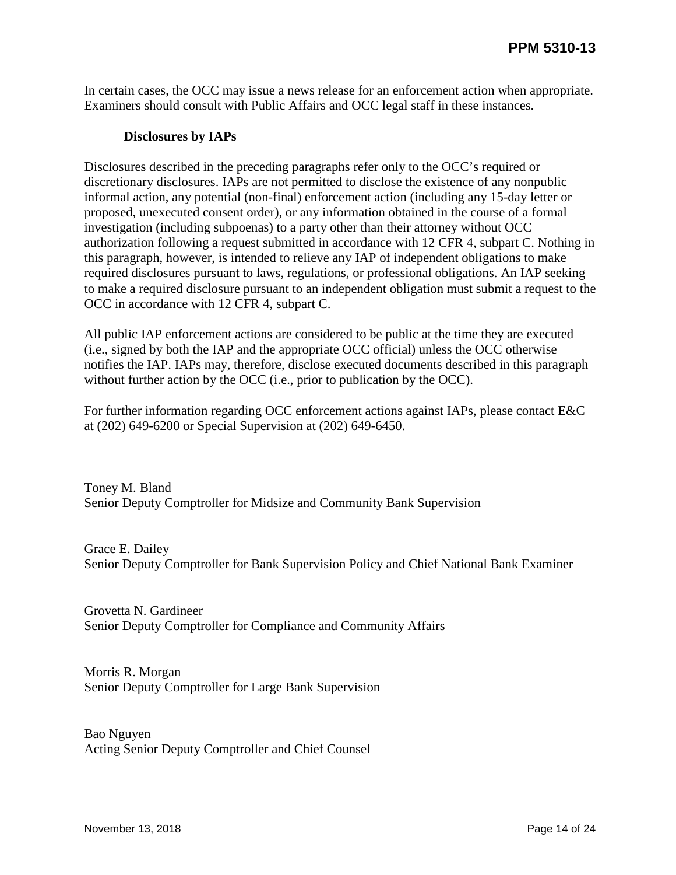In certain cases, the OCC may issue a news release for an enforcement action when appropriate. Examiners should consult with Public Affairs and OCC legal staff in these instances.

#### **Disclosures by IAPs**

<span id="page-13-0"></span>Disclosures described in the preceding paragraphs refer only to the OCC's required or discretionary disclosures. IAPs are not permitted to disclose the existence of any nonpublic informal action, any potential (non-final) enforcement action (including any 15-day letter or proposed, unexecuted consent order), or any information obtained in the course of a formal investigation (including subpoenas) to a party other than their attorney without OCC authorization following a request submitted in accordance with 12 CFR 4, subpart C. Nothing in this paragraph, however, is intended to relieve any IAP of independent obligations to make required disclosures pursuant to laws, regulations, or professional obligations. An IAP seeking to make a required disclosure pursuant to an independent obligation must submit a request to the OCC in accordance with 12 CFR 4, subpart C.

All public IAP enforcement actions are considered to be public at the time they are executed (i.e., signed by both the IAP and the appropriate OCC official) unless the OCC otherwise notifies the IAP. IAPs may, therefore, disclose executed documents described in this paragraph without further action by the OCC (i.e., prior to publication by the OCC).

For further information regarding OCC enforcement actions against IAPs, please contact E&C at (202) 649-6200 or Special Supervision at (202) 649-6450.

Toney M. Bland Senior Deputy Comptroller for Midsize and Community Bank Supervision

Grace E. Dailey Senior Deputy Comptroller for Bank Supervision Policy and Chief National Bank Examiner

Grovetta N. Gardineer Senior Deputy Comptroller for Compliance and Community Affairs

Morris R. Morgan Senior Deputy Comptroller for Large Bank Supervision

Bao Nguyen Acting Senior Deputy Comptroller and Chief Counsel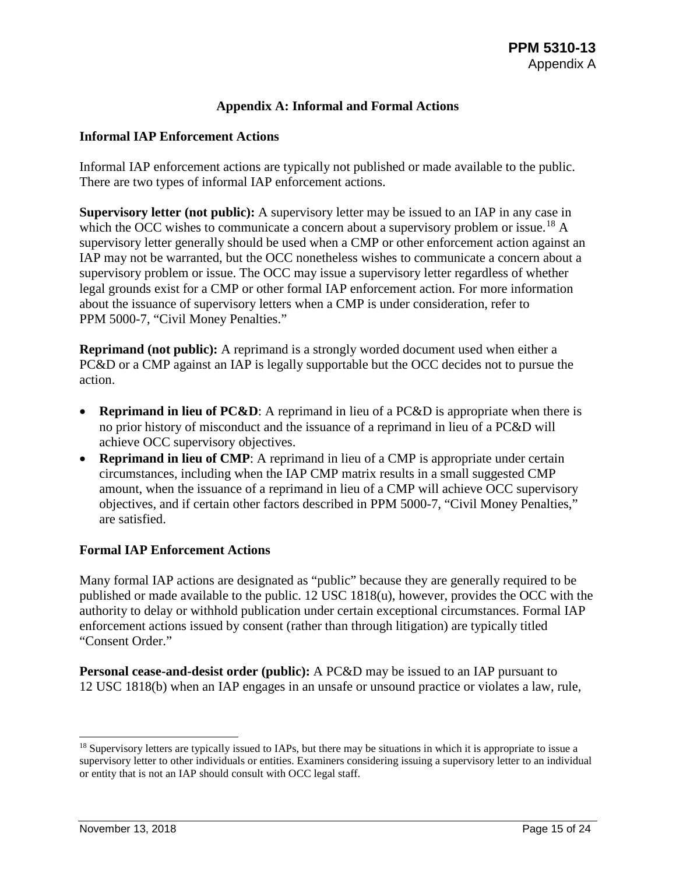#### **Appendix A: Informal and Formal Actions**

#### <span id="page-14-0"></span>**Informal IAP Enforcement Actions**

Informal IAP enforcement actions are typically not published or made available to the public. There are two types of informal IAP enforcement actions.

**Supervisory letter (not public):** A supervisory letter may be issued to an IAP in any case in which the OCC wishes to communicate a concern about a supervisory problem or issue.<sup>[18](#page-14-1)</sup> A supervisory letter generally should be used when a CMP or other enforcement action against an IAP may not be warranted, but the OCC nonetheless wishes to communicate a concern about a supervisory problem or issue. The OCC may issue a supervisory letter regardless of whether legal grounds exist for a CMP or other formal IAP enforcement action. For more information about the issuance of supervisory letters when a CMP is under consideration, refer to PPM 5000-7, "Civil Money Penalties."

**Reprimand (not public):** A reprimand is a strongly worded document used when either a PC&D or a CMP against an IAP is legally supportable but the OCC decides not to pursue the action.

- **Reprimand in lieu of PC&D**: A reprimand in lieu of a PC&D is appropriate when there is no prior history of misconduct and the issuance of a reprimand in lieu of a PC&D will achieve OCC supervisory objectives.
- **Reprimand in lieu of CMP**: A reprimand in lieu of a CMP is appropriate under certain circumstances, including when the IAP CMP matrix results in a small suggested CMP amount, when the issuance of a reprimand in lieu of a CMP will achieve OCC supervisory objectives, and if certain other factors described in PPM 5000-7, "Civil Money Penalties," are satisfied.

#### **Formal IAP Enforcement Actions**

Many formal IAP actions are designated as "public" because they are generally required to be published or made available to the public. 12 USC 1818(u), however, provides the OCC with the authority to delay or withhold publication under certain exceptional circumstances. Formal IAP enforcement actions issued by consent (rather than through litigation) are typically titled "Consent Order."

**Personal cease-and-desist order (public):** A PC&D may be issued to an IAP pursuant to 12 USC 1818(b) when an IAP engages in an unsafe or unsound practice or violates a law, rule,

<span id="page-14-1"></span><sup>&</sup>lt;sup>18</sup> Supervisory letters are typically issued to IAPs, but there may be situations in which it is appropriate to issue a supervisory letter to other individuals or entities. Examiners considering issuing a supervisory letter to an individual or entity that is not an IAP should consult with OCC legal staff.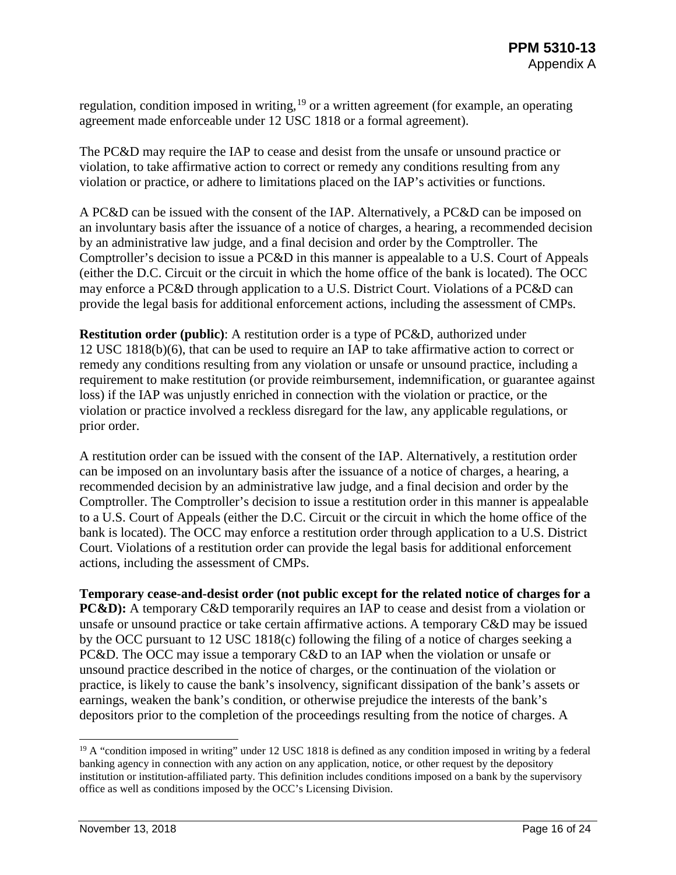regulation, condition imposed in writing,  $19$  or a written agreement (for example, an operating agreement made enforceable under 12 USC 1818 or a formal agreement).

The PC&D may require the IAP to cease and desist from the unsafe or unsound practice or violation, to take affirmative action to correct or remedy any conditions resulting from any violation or practice, or adhere to limitations placed on the IAP's activities or functions.

A PC&D can be issued with the consent of the IAP. Alternatively, a PC&D can be imposed on an involuntary basis after the issuance of a notice of charges, a hearing, a recommended decision by an administrative law judge, and a final decision and order by the Comptroller. The Comptroller's decision to issue a PC&D in this manner is appealable to a U.S. Court of Appeals (either the D.C. Circuit or the circuit in which the home office of the bank is located). The OCC may enforce a PC&D through application to a U.S. District Court. Violations of a PC&D can provide the legal basis for additional enforcement actions, including the assessment of CMPs.

**Restitution order (public)**: A restitution order is a type of PC&D, authorized under 12 USC 1818(b)(6), that can be used to require an IAP to take affirmative action to correct or remedy any conditions resulting from any violation or unsafe or unsound practice, including a requirement to make restitution (or provide reimbursement, indemnification, or guarantee against loss) if the IAP was unjustly enriched in connection with the violation or practice, or the violation or practice involved a reckless disregard for the law, any applicable regulations, or prior order.

A restitution order can be issued with the consent of the IAP. Alternatively, a restitution order can be imposed on an involuntary basis after the issuance of a notice of charges, a hearing, a recommended decision by an administrative law judge, and a final decision and order by the Comptroller. The Comptroller's decision to issue a restitution order in this manner is appealable to a U.S. Court of Appeals (either the D.C. Circuit or the circuit in which the home office of the bank is located). The OCC may enforce a restitution order through application to a U.S. District Court. Violations of a restitution order can provide the legal basis for additional enforcement actions, including the assessment of CMPs.

**Temporary cease-and-desist order (not public except for the related notice of charges for a PC&D):** A temporary C&D temporarily requires an IAP to cease and desist from a violation or unsafe or unsound practice or take certain affirmative actions. A temporary C&D may be issued by the OCC pursuant to 12 USC 1818(c) following the filing of a notice of charges seeking a PC&D. The OCC may issue a temporary C&D to an IAP when the violation or unsafe or unsound practice described in the notice of charges, or the continuation of the violation or practice, is likely to cause the bank's insolvency, significant dissipation of the bank's assets or earnings, weaken the bank's condition, or otherwise prejudice the interests of the bank's depositors prior to the completion of the proceedings resulting from the notice of charges. A

<span id="page-15-0"></span><sup>&</sup>lt;sup>19</sup> A "condition imposed in writing" under 12 USC 1818 is defined as any condition imposed in writing by a federal banking agency in connection with any action on any application, notice, or other request by the depository institution or institution-affiliated party. This definition includes conditions imposed on a bank by the supervisory office as well as conditions imposed by the OCC's Licensing Division.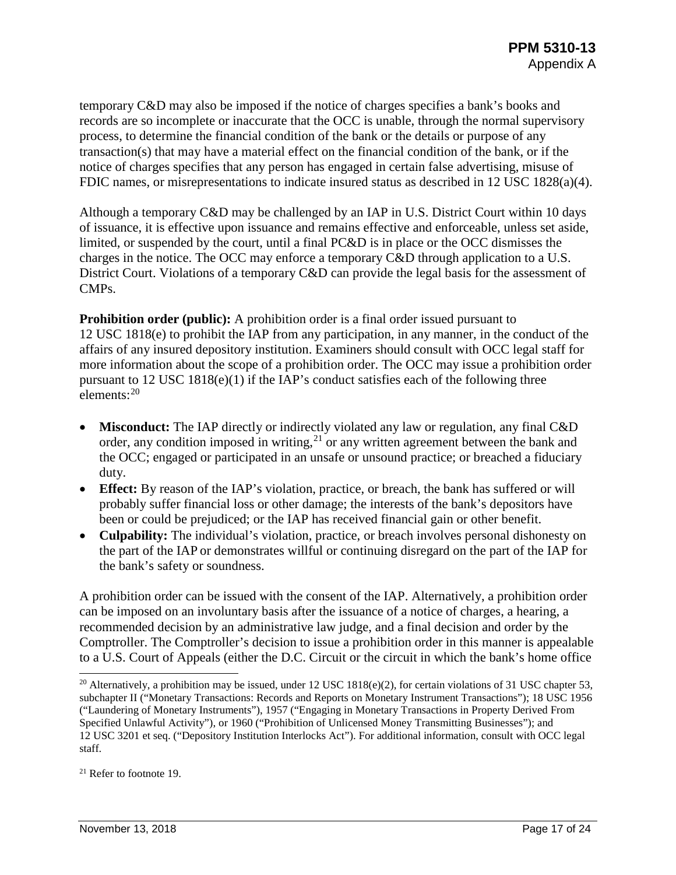temporary C&D may also be imposed if the notice of charges specifies a bank's books and records are so incomplete or inaccurate that the OCC is unable, through the normal supervisory process, to determine the financial condition of the bank or the details or purpose of any transaction(s) that may have a material effect on the financial condition of the bank, or if the notice of charges specifies that any person has engaged in certain false advertising, misuse of FDIC names, or misrepresentations to indicate insured status as described in 12 USC 1828(a)(4).

Although a temporary C&D may be challenged by an IAP in U.S. District Court within 10 days of issuance, it is effective upon issuance and remains effective and enforceable, unless set aside, limited, or suspended by the court, until a final PC&D is in place or the OCC dismisses the charges in the notice. The OCC may enforce a temporary C&D through application to a U.S. District Court. Violations of a temporary C&D can provide the legal basis for the assessment of CMPs.

**Prohibition order (public):** A prohibition order is a final order issued pursuant to 12 USC 1818(e) to prohibit the IAP from any participation, in any manner, in the conduct of the affairs of any insured depository institution. Examiners should consult with OCC legal staff for more information about the scope of a prohibition order. The OCC may issue a prohibition order pursuant to 12 USC 1818(e)(1) if the IAP's conduct satisfies each of the following three elements:[20](#page-16-0)

- **Misconduct:** The IAP directly or indirectly violated any law or regulation, any final C&D order, any condition imposed in writing, <sup>[21](#page-16-1)</sup> or any written agreement between the bank and the OCC; engaged or participated in an unsafe or unsound practice; or breached a fiduciary duty.
- **Effect:** By reason of the IAP's violation, practice, or breach, the bank has suffered or will probably suffer financial loss or other damage; the interests of the bank's depositors have been or could be prejudiced; or the IAP has received financial gain or other benefit.
- **Culpability:** The individual's violation, practice, or breach involves personal dishonesty on the part of the IAP or demonstrates willful or continuing disregard on the part of the IAP for the bank's safety or soundness.

A prohibition order can be issued with the consent of the IAP. Alternatively, a prohibition order can be imposed on an involuntary basis after the issuance of a notice of charges, a hearing, a recommended decision by an administrative law judge, and a final decision and order by the Comptroller. The Comptroller's decision to issue a prohibition order in this manner is appealable to a U.S. Court of Appeals (either the D.C. Circuit or the circuit in which the bank's home office

<span id="page-16-0"></span><sup>&</sup>lt;sup>20</sup> Alternatively, a prohibition may be issued, under 12 USC 1818(e)(2), for certain violations of 31 USC chapter 53, subchapter II ("Monetary Transactions: Records and Reports on Monetary Instrument Transactions"); 18 USC 1956 ("Laundering of Monetary Instruments"), 1957 ("Engaging in Monetary Transactions in Property Derived From Specified Unlawful Activity"), or 1960 ("Prohibition of Unlicensed Money Transmitting Businesses"); and 12 USC 3201 et seq. ("Depository Institution Interlocks Act"). For additional information, consult with OCC legal staff.

<span id="page-16-1"></span><sup>21</sup> Refer to footnote 19.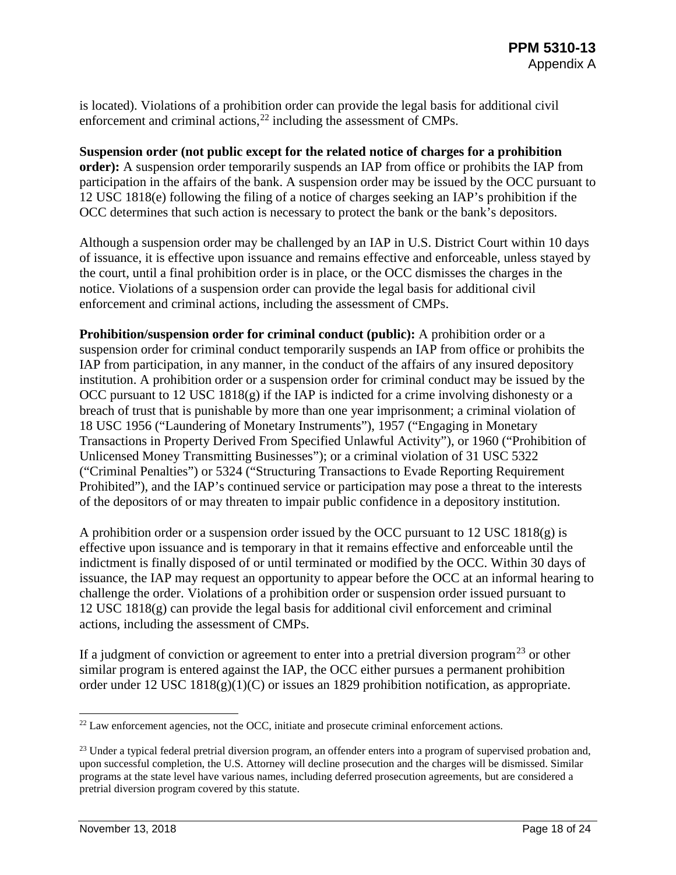is located). Violations of a prohibition order can provide the legal basis for additional civil enforcement and criminal actions, $^{22}$  $^{22}$  $^{22}$  including the assessment of CMPs.

**Suspension order (not public except for the related notice of charges for a prohibition order):** A suspension order temporarily suspends an IAP from office or prohibits the IAP from participation in the affairs of the bank. A suspension order may be issued by the OCC pursuant to 12 USC 1818(e) following the filing of a notice of charges seeking an IAP's prohibition if the OCC determines that such action is necessary to protect the bank or the bank's depositors.

Although a suspension order may be challenged by an IAP in U.S. District Court within 10 days of issuance, it is effective upon issuance and remains effective and enforceable, unless stayed by the court, until a final prohibition order is in place, or the OCC dismisses the charges in the notice. Violations of a suspension order can provide the legal basis for additional civil enforcement and criminal actions, including the assessment of CMPs.

**Prohibition/suspension order for criminal conduct (public):** A prohibition order or a suspension order for criminal conduct temporarily suspends an IAP from office or prohibits the IAP from participation, in any manner, in the conduct of the affairs of any insured depository institution. A prohibition order or a suspension order for criminal conduct may be issued by the OCC pursuant to 12 USC 1818(g) if the IAP is indicted for a crime involving dishonesty or a breach of trust that is punishable by more than one year imprisonment; a criminal violation of 18 USC 1956 ("Laundering of Monetary Instruments"), 1957 ("Engaging in Monetary Transactions in Property Derived From Specified Unlawful Activity"), or 1960 ("Prohibition of Unlicensed Money Transmitting Businesses"); or a criminal violation of 31 USC 5322 ("Criminal Penalties") or 5324 ("Structuring Transactions to Evade Reporting Requirement Prohibited"), and the IAP's continued service or participation may pose a threat to the interests of the depositors of or may threaten to impair public confidence in a depository institution.

A prohibition order or a suspension order issued by the OCC pursuant to 12 USC 1818(g) is effective upon issuance and is temporary in that it remains effective and enforceable until the indictment is finally disposed of or until terminated or modified by the OCC. Within 30 days of issuance, the IAP may request an opportunity to appear before the OCC at an informal hearing to challenge the order. Violations of a prohibition order or suspension order issued pursuant to 12 USC 1818(g) can provide the legal basis for additional civil enforcement and criminal actions, including the assessment of CMPs.

If a judgment of conviction or agreement to enter into a pretrial diversion program<sup>[23](#page-17-1)</sup> or other similar program is entered against the IAP, the OCC either pursues a permanent prohibition order under 12 USC 1818(g)(1)(C) or issues an 1829 prohibition notification, as appropriate.

<span id="page-17-0"></span> $22$  Law enforcement agencies, not the OCC, initiate and prosecute criminal enforcement actions.

<span id="page-17-1"></span><sup>&</sup>lt;sup>23</sup> Under a typical federal pretrial diversion program, an offender enters into a program of supervised probation and, upon successful completion, the U.S. Attorney will decline prosecution and the charges will be dismissed. Similar programs at the state level have various names, including deferred prosecution agreements, but are considered a pretrial diversion program covered by this statute.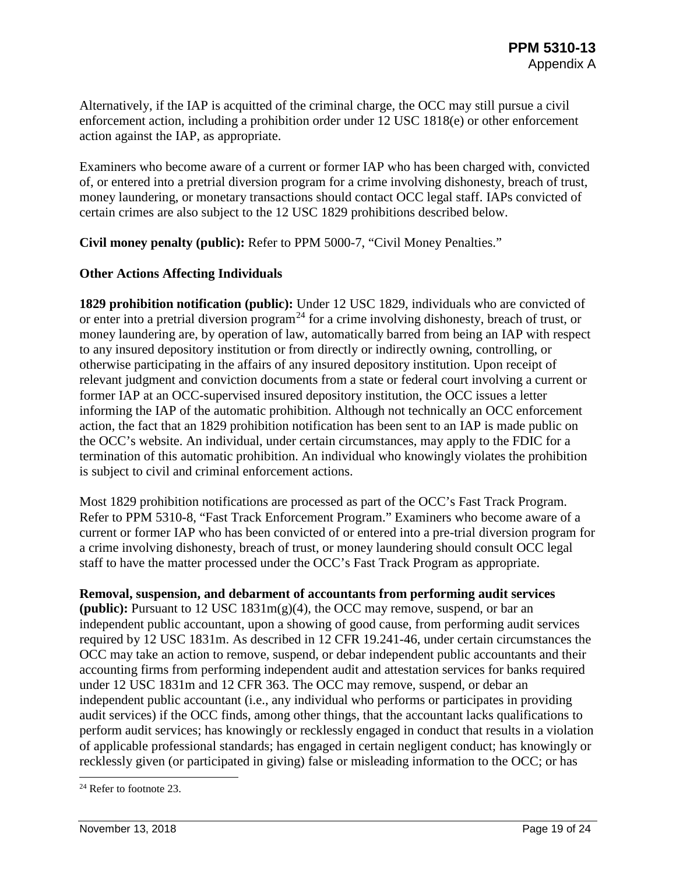Alternatively, if the IAP is acquitted of the criminal charge, the OCC may still pursue a civil enforcement action, including a prohibition order under 12 USC 1818(e) or other enforcement action against the IAP, as appropriate.

Examiners who become aware of a current or former IAP who has been charged with, convicted of, or entered into a pretrial diversion program for a crime involving dishonesty, breach of trust, money laundering, or monetary transactions should contact OCC legal staff. IAPs convicted of certain crimes are also subject to the 12 USC 1829 prohibitions described below.

**Civil money penalty (public):** Refer to PPM 5000-7, "Civil Money Penalties."

#### **Other Actions Affecting Individuals**

**1829 prohibition notification (public):** Under 12 USC 1829, individuals who are convicted of or enter into a pretrial diversion program<sup>[24](#page-18-0)</sup> for a crime involving dishonesty, breach of trust, or money laundering are, by operation of law, automatically barred from being an IAP with respect to any insured depository institution or from directly or indirectly owning, controlling, or otherwise participating in the affairs of any insured depository institution. Upon receipt of relevant judgment and conviction documents from a state or federal court involving a current or former IAP at an OCC-supervised insured depository institution, the OCC issues a letter informing the IAP of the automatic prohibition. Although not technically an OCC enforcement action, the fact that an 1829 prohibition notification has been sent to an IAP is made public on the OCC's website. An individual, under certain circumstances, may apply to the FDIC for a termination of this automatic prohibition. An individual who knowingly violates the prohibition is subject to civil and criminal enforcement actions.

Most 1829 prohibition notifications are processed as part of the OCC's Fast Track Program. Refer to PPM 5310-8, "Fast Track Enforcement Program." Examiners who become aware of a current or former IAP who has been convicted of or entered into a pre-trial diversion program for a crime involving dishonesty, breach of trust, or money laundering should consult OCC legal staff to have the matter processed under the OCC's Fast Track Program as appropriate.

#### **Removal, suspension, and debarment of accountants from performing audit services**

**(public):** Pursuant to 12 USC 1831m(g)(4), the OCC may remove, suspend, or bar an independent public accountant, upon a showing of good cause, from performing audit services required by 12 USC 1831m. As described in 12 CFR 19.241-46, under certain circumstances the OCC may take an action to remove, suspend, or debar independent public accountants and their accounting firms from performing independent audit and attestation services for banks required under 12 USC 1831m and 12 CFR 363. The OCC may remove, suspend, or debar an independent public accountant (i.e., any individual who performs or participates in providing audit services) if the OCC finds, among other things, that the accountant lacks qualifications to perform audit services; has knowingly or recklessly engaged in conduct that results in a violation of applicable professional standards; has engaged in certain negligent conduct; has knowingly or recklessly given (or participated in giving) false or misleading information to the OCC; or has

<span id="page-18-0"></span><sup>&</sup>lt;sup>24</sup> Refer to footnote 23.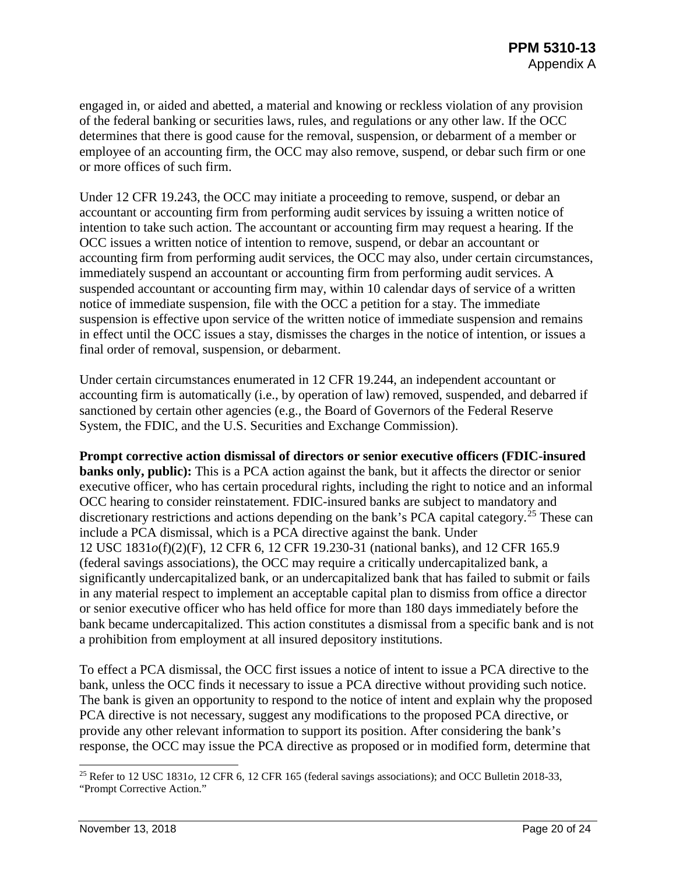engaged in, or aided and abetted, a material and knowing or reckless violation of any provision of the federal banking or securities laws, rules, and regulations or any other law. If the OCC determines that there is good cause for the removal, suspension, or debarment of a member or employee of an accounting firm, the OCC may also remove, suspend, or debar such firm or one or more offices of such firm.

Under 12 CFR 19.243, the OCC may initiate a proceeding to remove, suspend, or debar an accountant or accounting firm from performing audit services by issuing a written notice of intention to take such action. The accountant or accounting firm may request a hearing. If the OCC issues a written notice of intention to remove, suspend, or debar an accountant or accounting firm from performing audit services, the OCC may also, under certain circumstances, immediately suspend an accountant or accounting firm from performing audit services. A suspended accountant or accounting firm may, within 10 calendar days of service of a written notice of immediate suspension, file with the OCC a petition for a stay. The immediate suspension is effective upon service of the written notice of immediate suspension and remains in effect until the OCC issues a stay, dismisses the charges in the notice of intention, or issues a final order of removal, suspension, or debarment.

Under certain circumstances enumerated in 12 CFR 19.244, an independent accountant or accounting firm is automatically (i.e., by operation of law) removed, suspended, and debarred if sanctioned by certain other agencies (e.g., the Board of Governors of the Federal Reserve System, the FDIC, and the U.S. Securities and Exchange Commission).

**Prompt corrective action dismissal of directors or senior executive officers (FDIC-insured banks only, public):** This is a PCA action against the bank, but it affects the director or senior executive officer, who has certain procedural rights, including the right to notice and an informal OCC hearing to consider reinstatement. FDIC-insured banks are subject to mandatory and discretionary restrictions and actions depending on the bank's PCA capital category.<sup>[25](#page-19-0)</sup> These can include a PCA dismissal, which is a PCA directive against the bank. Under 12 USC 1831*o*(f)(2)(F), 12 CFR 6, 12 CFR 19.230-31 (national banks), and 12 CFR 165.9 (federal savings associations), the OCC may require a critically undercapitalized bank, a significantly undercapitalized bank, or an undercapitalized bank that has failed to submit or fails in any material respect to implement an acceptable capital plan to dismiss from office a director or senior executive officer who has held office for more than 180 days immediately before the bank became undercapitalized. This action constitutes a dismissal from a specific bank and is not a prohibition from employment at all insured depository institutions.

To effect a PCA dismissal, the OCC first issues a notice of intent to issue a PCA directive to the bank, unless the OCC finds it necessary to issue a PCA directive without providing such notice. The bank is given an opportunity to respond to the notice of intent and explain why the proposed PCA directive is not necessary, suggest any modifications to the proposed PCA directive, or provide any other relevant information to support its position. After considering the bank's response, the OCC may issue the PCA directive as proposed or in modified form, determine that

<span id="page-19-0"></span> <sup>25</sup> Refer to 12 USC 1831*o,* 12 CFR 6, 12 CFR 165 (federal savings associations); and OCC Bulletin 2018-33, "Prompt Corrective Action."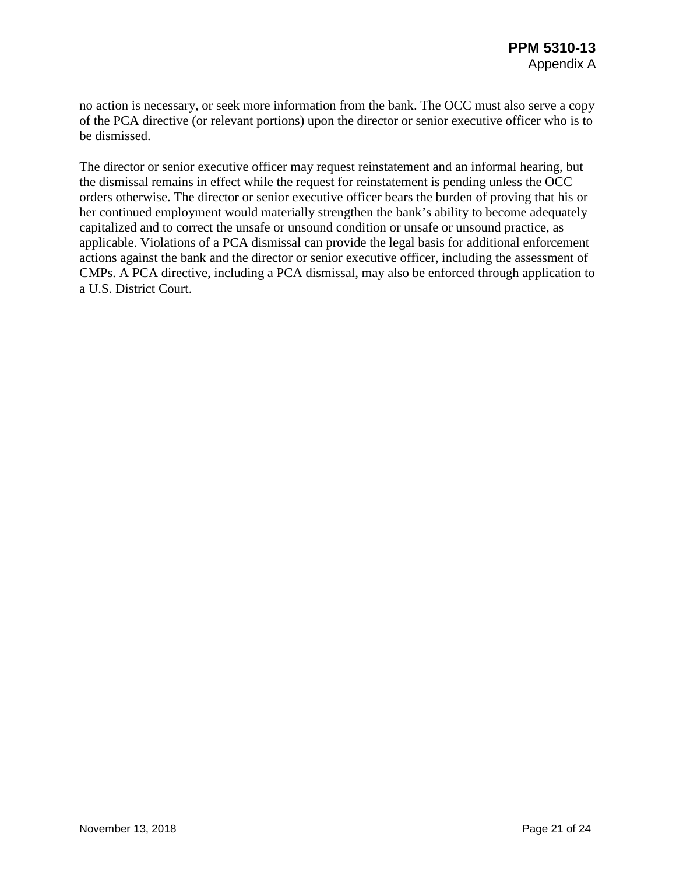no action is necessary, or seek more information from the bank. The OCC must also serve a copy of the PCA directive (or relevant portions) upon the director or senior executive officer who is to be dismissed.

The director or senior executive officer may request reinstatement and an informal hearing, but the dismissal remains in effect while the request for reinstatement is pending unless the OCC orders otherwise. The director or senior executive officer bears the burden of proving that his or her continued employment would materially strengthen the bank's ability to become adequately capitalized and to correct the unsafe or unsound condition or unsafe or unsound practice, as applicable. Violations of a PCA dismissal can provide the legal basis for additional enforcement actions against the bank and the director or senior executive officer, including the assessment of CMPs. A PCA directive, including a PCA dismissal, may also be enforced through application to a U.S. District Court.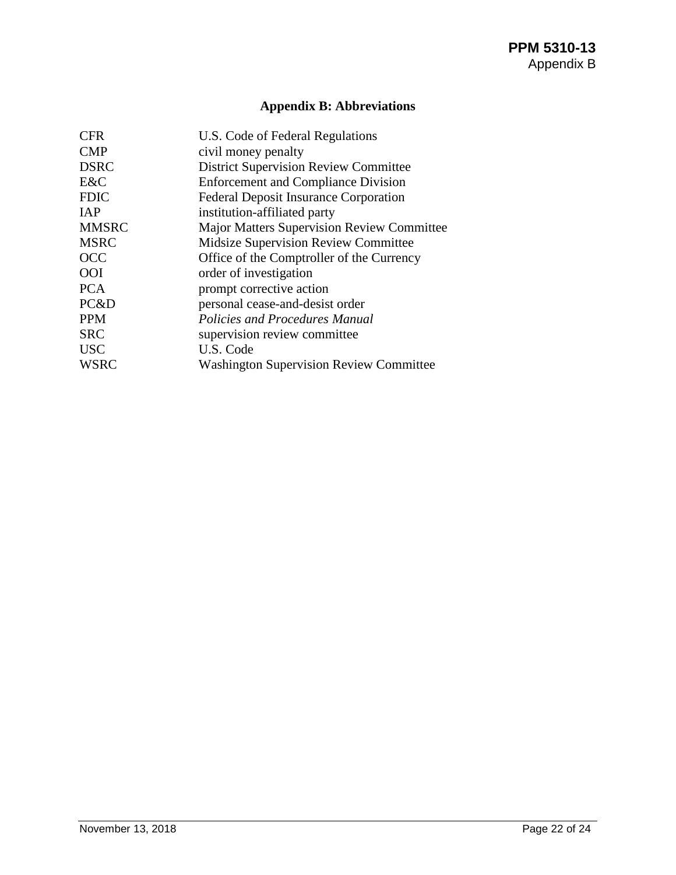# **Appendix B: Abbreviations**

<span id="page-21-0"></span>

| U.S. Code of Federal Regulations                  |
|---------------------------------------------------|
| civil money penalty                               |
| <b>District Supervision Review Committee</b>      |
| <b>Enforcement and Compliance Division</b>        |
| <b>Federal Deposit Insurance Corporation</b>      |
| institution-affiliated party                      |
| <b>Major Matters Supervision Review Committee</b> |
| <b>Midsize Supervision Review Committee</b>       |
| Office of the Comptroller of the Currency         |
| order of investigation                            |
| prompt corrective action                          |
| personal cease-and-desist order                   |
| <b>Policies and Procedures Manual</b>             |
| supervision review committee                      |
| U.S. Code                                         |
| <b>Washington Supervision Review Committee</b>    |
|                                                   |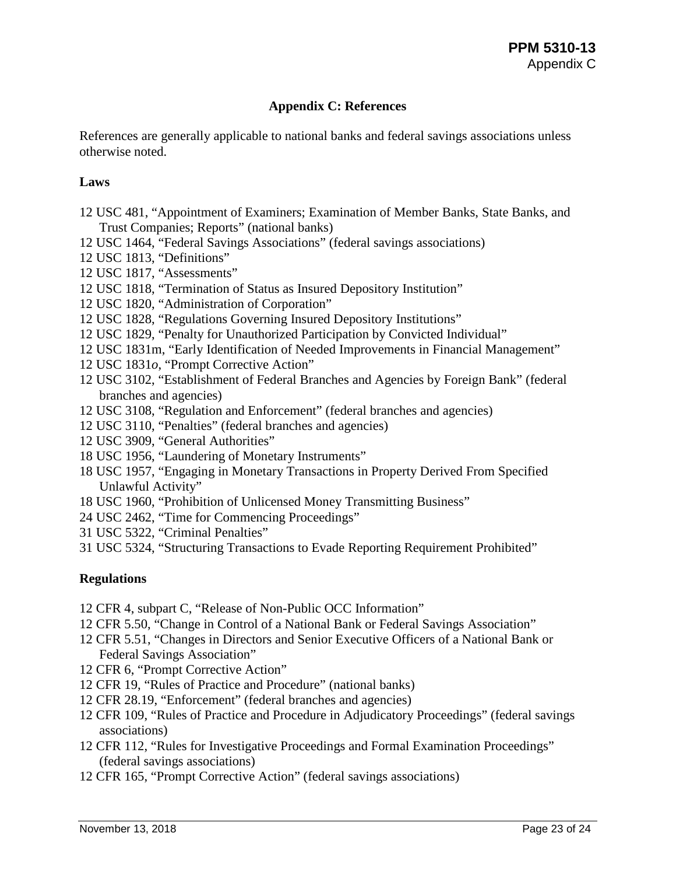# **Appendix C: References**

<span id="page-22-0"></span>References are generally applicable to national banks and federal savings associations unless otherwise noted.

#### **Laws**

- 12 USC 481, "Appointment of Examiners; Examination of Member Banks, State Banks, and Trust Companies; Reports" (national banks)
- 12 USC 1464, "Federal Savings Associations" (federal savings associations)
- 12 USC 1813, "Definitions"
- 12 USC 1817, "Assessments"
- 12 USC 1818, "Termination of Status as Insured Depository Institution"
- 12 USC 1820, "Administration of Corporation"
- 12 USC 1828, "Regulations Governing Insured Depository Institutions"
- 12 USC 1829, "Penalty for Unauthorized Participation by Convicted Individual"
- 12 USC 1831m, "Early Identification of Needed Improvements in Financial Management"
- 12 USC 1831*o*, "Prompt Corrective Action"
- 12 USC 3102, "Establishment of Federal Branches and Agencies by Foreign Bank" (federal branches and agencies)
- 12 USC 3108, "Regulation and Enforcement" (federal branches and agencies)
- 12 USC 3110, "Penalties" (federal branches and agencies)
- 12 USC 3909, "General Authorities"
- 18 USC 1956, "Laundering of Monetary Instruments"
- 18 USC 1957, "Engaging in Monetary Transactions in Property Derived From Specified Unlawful Activity"
- 18 USC 1960, "Prohibition of Unlicensed Money Transmitting Business"
- 24 USC 2462, "Time for Commencing Proceedings"
- 31 USC 5322, "Criminal Penalties"
- 31 USC 5324, "Structuring Transactions to Evade Reporting Requirement Prohibited"

# **Regulations**

- 12 CFR 4, subpart C, "Release of Non-Public OCC Information"
- 12 CFR 5.50, "Change in Control of a National Bank or Federal Savings Association"
- 12 CFR 5.51, "Changes in Directors and Senior Executive Officers of a National Bank or Federal Savings Association"
- 12 CFR 6, "Prompt Corrective Action"
- 12 CFR 19, "Rules of Practice and Procedure" (national banks)
- 12 CFR 28.19, "Enforcement" (federal branches and agencies)
- 12 CFR 109, "Rules of Practice and Procedure in Adjudicatory Proceedings" (federal savings associations)
- 12 CFR 112, "Rules for Investigative Proceedings and Formal Examination Proceedings" (federal savings associations)
- 12 CFR 165, "Prompt Corrective Action" (federal savings associations)